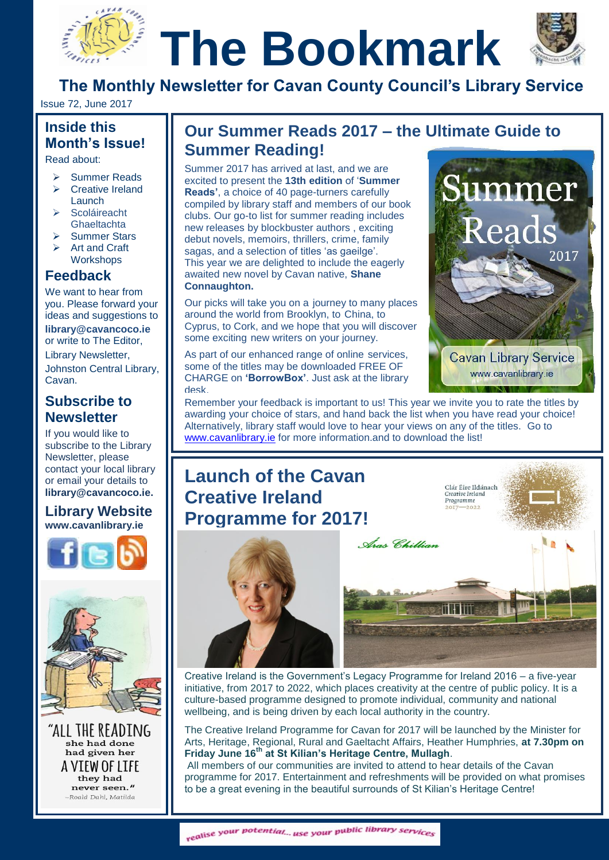# **The Bookmark**



**The Monthly Newsletter for Cavan County Council's Library Service**

Issue 72, June 2017

#### **Inside this Month's Issue!**

Read about:

- Summer Reads
- $\triangleright$  Creative Ireland Launch
	- **Scoláireacht** Ghaeltachta
	- Summer Stars
	- Art and Craft **Workshops**

#### **Feedback**

We want to hear from you. Please forward your ideas and suggestions to **[library@cavancoco.ie](mailto:info@cavanlibrary.ie?subject=Newsletter%20ideas%20&%20Feedback)** or write to The Editor, Library Newsletter, Johnston Central Library, Cavan.

#### **Subscribe to Newsletter**

If you would like to subscribe to the Library Newsletter, please contact your local library or email your details to **[library@cavancoco.ie.](mailto:library@cavancoco.ie)**

#### **Library Website [www.cavanlibrary.ie](http://www.cavanlibrary.ie/)**





"ALL THE READING she had done had given her A VIEW OF LIFE they had never seen." -Roald Dahl, Matilda

## **The Month's Issue!**<br>
Read about:<br>
Summer 2017 has arrived at last, and we are **Summer Reading!**

Summer 2017 has arrived at last, and we are excited to present the **13th edition** of '**Summer Reads'**, a choice of 40 page-turners carefully compiled by library staff and members of our book clubs. Our go-to list for summer reading includes new releases by blockbuster authors , exciting debut novels, memoirs, thrillers, crime, family sagas, and a selection of titles 'as gaeilge'. This year we are delighted to include the eagerly awaited new novel by Cavan native, **Shane Connaughton.**

Our picks will take you on a journey to many places around the world from Brooklyn, to China, to Cyprus, to Cork, and we hope that you will discover some exciting new writers on your journey.

As part of our enhanced range of online services, some of the titles may be downloaded FREE OF CHARGE on **'BorrowBox'**. Just ask at the library desk.



Remember your feedback is important to us! This year we invite you to rate the titles by awarding your choice of stars, and hand back the list when you have read your choice! Alternatively, library staff would love to hear your views on any of the titles. Go to [www.cavanlibrary.ie](http://www.cavanlibrary.ie/) for more information.and to download the list!

### **Launch of the Cavan Creative Ireland Programme for 2017!**





Creative Ireland is the Government's Legacy Programme for Ireland 2016 – a five-year initiative, from 2017 to 2022, which places creativity at the centre of public policy. It is a culture-based programme designed to promote individual, community and national wellbeing, and is being driven by each local authority in the country.

The Creative Ireland Programme for Cavan for 2017 will be launched by the Minister for Arts, Heritage, Regional, Rural and Gaeltacht Affairs, Heather Humphries, **at 7.30pm on Friday June 16th at St Kilian's Heritage Centre, Mullagh**.

All members of our communities are invited to attend to hear details of the Cavan programme for 2017. Entertainment and refreshments will be provided on what promises to be a great evening in the beautiful surrounds of St Kilian's Heritage Centre!